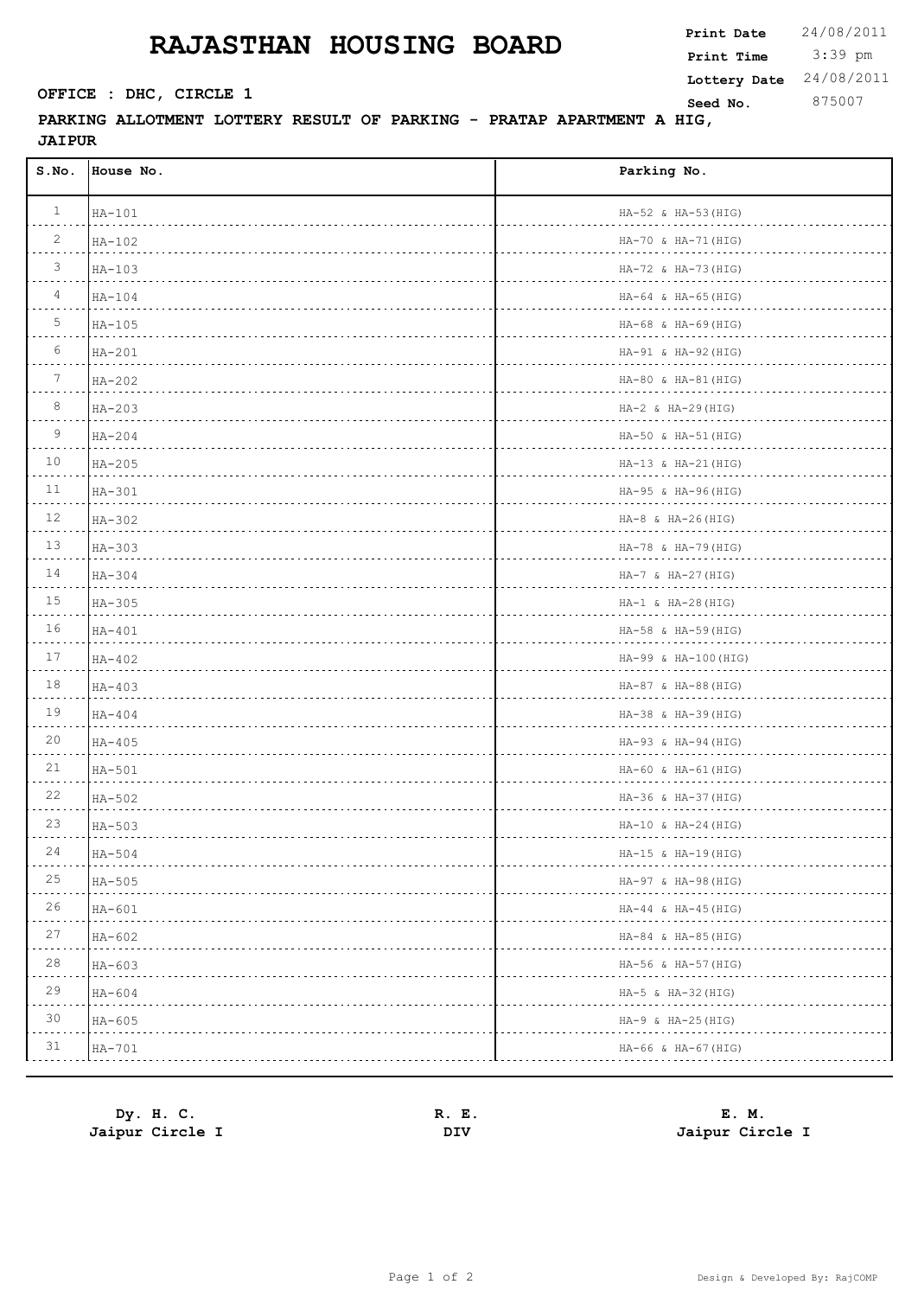## **RAJASTHAN HOUSING BOARD**

 $\Gamma$ 

**PARKING ALLOTMENT LOTTERY RESULT OF PARKING - PRATAP APARTMENT A HIG, JAIPUR** 

| S.NO.        | House No. | Parking No.                         |
|--------------|-----------|-------------------------------------|
| $\mathbf{1}$ | $HA-101$  | HA-52 & HA-53 (HIG)                 |
| 2            | $HA-102$  | HA-70 & HA-71 (HIG)                 |
| 3            | $HA-103$  | HA-72 & HA-73 (HIG)<br>.            |
| 4            | $HA-104$  | $HA-64$ & $HA-65$ (HIG)             |
| 5            | $HA-105$  | $HA-68$ & $HA-69$ (HIG)<br>.        |
| 6            | $HA-201$  | HA-91 & HA-92 (HIG)                 |
| 7            | $HA-202$  | HA-80 & HA-81 (HIG)                 |
| 8            | $HA-203$  | $HA-2$ & $HA-29$ (HIG)<br><u>.</u>  |
| 9            | $HA-204$  | HA-50 & HA-51 (HIG)<br>. <i>.</i> . |
| 10           | $HA-205$  | $HA-13$ & $HA-21$ (HIG)<br>.        |
| 11           | $HA-301$  | HA-95 & HA-96(HIG)<br>.             |
| 12           | $HA-302$  | $HA-8$ & $HA-26(HIG)$               |
| 13           | $HA-303$  | HA-78 & HA-79 (HIG)<br>.            |
| 14           | $HA-304$  | HA-7 & HA-27 (HIG)<br>.             |
| 15           | $HA-305$  | $HA-1$ & $HA-28(HIG)$<br>.          |
| 16           | $HA-401$  | HA-58 & HA-59 (HIG)                 |
| 17           | $HA-402$  | HA-99 & HA-100 (HIG)<br>.           |
| 18           | $HA-403$  | HA-87 & HA-88 (HIG)<br>.            |
| 19           | $HA-404$  | HA-38 & HA-39 (HIG)<br>.            |
| 20           | $HA-405$  | HA-93 & HA-94 (HIG)                 |
| 21           | $HA-501$  | HA-60 & HA-61 (HIG)                 |
| 22           | HA-502    | HA-36 & HA-37 (HIG)                 |
| 23           | $HA-503$  | $HA-10$ & $HA-24$ (HIG)             |
| 24<br>.      | $HA-504$  | HA-15 & HA-19 (HIG)                 |
| 25           | $HA-505$  | HA-97 & HA-98 (HIG)                 |
| 26           | $HA-601$  | HA-44 & HA-45(HIG)                  |
| 27           | HA-602    | HA-84 & HA-85 (HIG)                 |
| $2\,8$       | $HA-603$  | HA-56 & HA-57 (HIG)                 |
| 29           | $HA-604$  | HA-5 & HA-32 (HIG)                  |
| 30           | $HA-605$  | HA-9 & HA-25(HIG)                   |
| 31           | HA-701    | HA-66 & HA-67 (HIG)                 |
|              |           |                                     |

| Dy. H. C.       | R. E. | E. M.           |
|-----------------|-------|-----------------|
| Jaipur Circle I | DIV   | Jaipur Circle I |